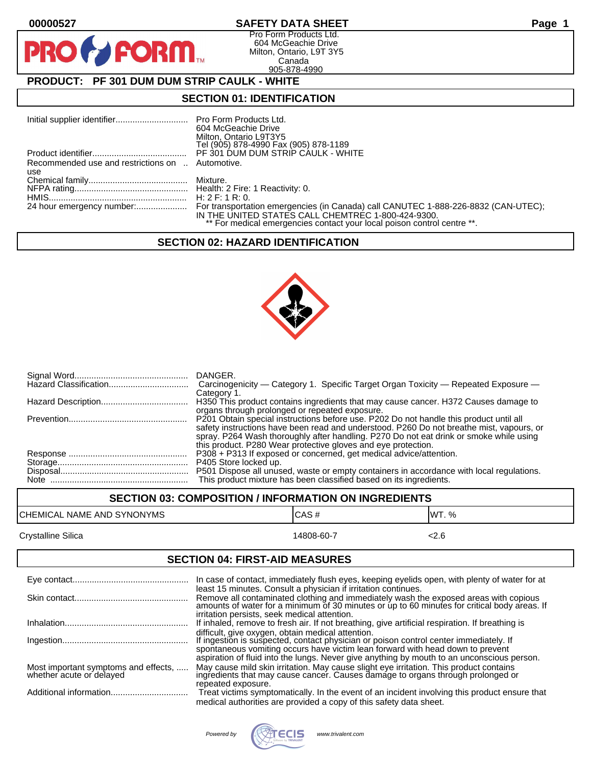PF

# **00000527 SAFETY DATA SHEET Page 1**

Pro Form Products Ltd. 604 McGeachie Drive Milton, Ontario, L9T 3Y5 Canada 905-878-4990

# **PRODUCT: PF 301 DUM DUM STRIP CAULK - WHITE**

**FORM.** 

## **SECTION 01: IDENTIFICATION**

|                                                  | 604 McGeachie Drive                                                     |
|--------------------------------------------------|-------------------------------------------------------------------------|
|                                                  | Milton, Ontario L9T3Y5                                                  |
|                                                  | Tel (905) 878-4990 Fax (905) 878-1189                                   |
|                                                  | PF 301 DUM DUM STRIP CAULK - WHITE                                      |
| Recommended use and restrictions on  Automotive. |                                                                         |
| use                                              |                                                                         |
|                                                  |                                                                         |
|                                                  |                                                                         |
|                                                  |                                                                         |
|                                                  |                                                                         |
|                                                  | IN THE UNITED STATES CALL CHEMTREC 1-800-424-9300.                      |
|                                                  | ** For medical emergencies contact your local poison control centre **. |

## **SECTION 02: HAZARD IDENTIFICATION**



| DANGER.<br>Carcinogenicity - Category 1. Specific Target Organ Toxicity - Repeated Exposure -<br>Category 1.                                                                                                                                                                                                                                  |
|-----------------------------------------------------------------------------------------------------------------------------------------------------------------------------------------------------------------------------------------------------------------------------------------------------------------------------------------------|
| H350 This product contains ingredients that may cause cancer. H372 Causes damage to<br>organs through prolonged or repeated exposure.                                                                                                                                                                                                         |
| P201 Obtain special instructions before use. P202 Do not handle this product until all<br>safety instructions have been read and understood. P260 Do not breathe mist, vapours, or<br>spray. P264 Wash thoroughly after handling. P270 Do not eat drink or smoke while using<br>this product. P280 Wear protective gloves and eye protection. |
| P308 + P313 If exposed or concerned, get medical advice/attention.                                                                                                                                                                                                                                                                            |
|                                                                                                                                                                                                                                                                                                                                               |
| P501 Dispose all unused, waste or empty containers in accordance with local regulations.                                                                                                                                                                                                                                                      |
| This product mixture has been classified based on its ingredients.                                                                                                                                                                                                                                                                            |

| <b>SECTION 03: COMPOSITION / INFORMATION ON INGREDIENTS</b> |            |        |
|-------------------------------------------------------------|------------|--------|
| CHEMICAL NAME AND SYNONYMS                                  | ICAS#      | IWT. % |
| Crystalline Silica                                          | 14808-60-7 | <2.6   |

# **SECTION 04: FIRST-AID MEASURES**

|                                                                  | In case of contact, immediately flush eyes, keeping eyelids open, with plenty of water for at<br>least 15 minutes. Consult a physician if irritation continues.                   |
|------------------------------------------------------------------|-----------------------------------------------------------------------------------------------------------------------------------------------------------------------------------|
|                                                                  | Remove all contaminated clothing and immediately wash the exposed areas with copious amounts of water for a minimum of 30 minutes or up to 60 minutes for critical body areas. If |
|                                                                  | irritation persists, seek medical attention.                                                                                                                                      |
|                                                                  | If inhaled, remove to fresh air. If not breathing, give artificial respiration. If breathing is                                                                                   |
|                                                                  | difficult, give oxygen, obtain medical attention.<br>If ingestion is suspected, contact physician or poison control center immediately. If                                        |
|                                                                  | spontaneous vomiting occurs have victim lean forward with head down to prevent<br>aspiration of fluid into the lungs. Never give anything by mouth to an unconscious person.      |
| Most important symptoms and effects,<br>whether acute or delayed | May cause mild skin irritation. May cause slight eye irritation. This product contains<br>ingredients that may cause cancer. Causes damage to organs through prolonged or         |
|                                                                  | repeated exposure.                                                                                                                                                                |
|                                                                  | Treat victims symptomatically. In the event of an incident involving this product ensure that                                                                                     |
|                                                                  | medical authorities are provided a copy of this safety data sheet.                                                                                                                |

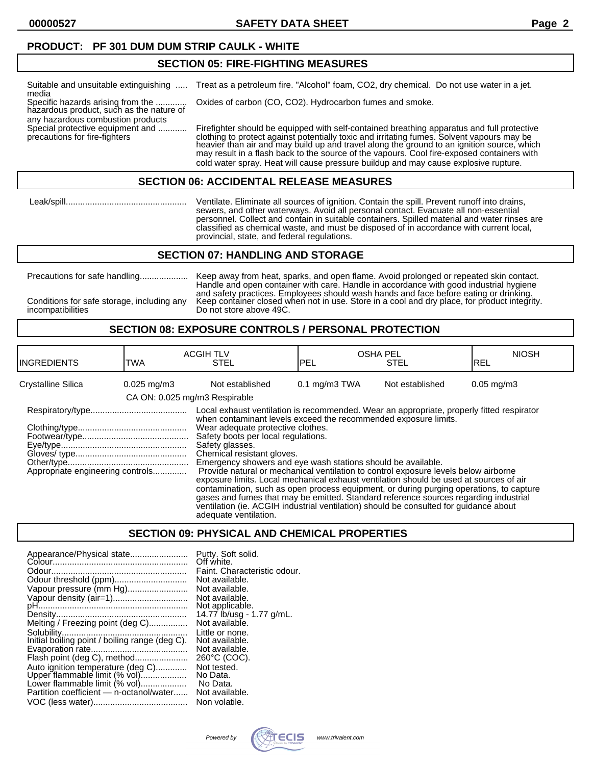**00000527 SAFETY DATA SHEET Page 2**

#### **PRODUCT: PF 301 DUM DUM STRIP CAULK - WHITE**

#### **SECTION 05: FIRE-FIGHTING MEASURES**

| Suitable and unsuitable extinguishing<br>media                                                                     | Treat as a petroleum fire. "Alcohol" foam, CO2, dry chemical. Do not use water in a jet.                                                                                                                                                                                                                                                                                                                                                                                    |
|--------------------------------------------------------------------------------------------------------------------|-----------------------------------------------------------------------------------------------------------------------------------------------------------------------------------------------------------------------------------------------------------------------------------------------------------------------------------------------------------------------------------------------------------------------------------------------------------------------------|
| Specific hazards arising from the<br>hazardous product, such as the nature of<br>any hazardous combustion products | Oxides of carbon (CO, CO2). Hydrocarbon fumes and smoke.                                                                                                                                                                                                                                                                                                                                                                                                                    |
| Special protective equipment and<br>precautions for fire-fighters                                                  | Firefighter should be equipped with self-contained breathing apparatus and full protective<br>clothing to protect against potentially toxic and irritating fumes. Solvent vapours may be<br>heavier than air and may build up and travel along the ground to an ignition source, which<br>may result in a flash back to the source of the vapours. Cool fire-exposed containers with<br>cold water spray. Heat will cause pressure buildup and may cause explosive rupture. |

#### **SECTION 06: ACCIDENTAL RELEASE MEASURES**

 Leak/spill.................................................. Ventilate. Eliminate all sources of ignition. Contain the spill. Prevent runoff into drains, sewers, and other waterways. Avoid all personal contact. Evacuate all non-essential personnel. Collect and contain in suitable containers. Spilled material and water rinses are classified as chemical waste, and must be disposed of in accordance with current local, provincial, state, and federal regulations.

#### **SECTION 07: HANDLING AND STORAGE**

incompatibilities Do not store above 49C.

Precautions for safe handling.................... Keep away from heat, sparks, and open flame. Avoid prolonged or repeated skin contact. Handle and open container with care. Handle in accordance with good industrial hygiene and safety practices. Employees should wash hands and face before eating or drinking. Conditions for safe storage, including any Keep container closed when not in use. Store in a cool and dry place, for product integrity.

## **SECTION 08: EXPOSURE CONTROLS / PERSONAL PROTECTION**

| <b>INGREDIENTS</b>                                                                                                                                                                                                                                                                                                                                                                                                                                                                                                                                                                                                                                                                                                                                                                                                                                                                                                   | TWA                       | <b>ACGIH TLV</b><br><b>STEL</b> | <b>OSHA PEL</b><br>IPEL  | <b>STEL</b>     | <b>NIOSH</b><br>IREL     |
|----------------------------------------------------------------------------------------------------------------------------------------------------------------------------------------------------------------------------------------------------------------------------------------------------------------------------------------------------------------------------------------------------------------------------------------------------------------------------------------------------------------------------------------------------------------------------------------------------------------------------------------------------------------------------------------------------------------------------------------------------------------------------------------------------------------------------------------------------------------------------------------------------------------------|---------------------------|---------------------------------|--------------------------|-----------------|--------------------------|
| Crystalline Silica                                                                                                                                                                                                                                                                                                                                                                                                                                                                                                                                                                                                                                                                                                                                                                                                                                                                                                   | $0.025 \,\mathrm{mq/m}$ 3 | Not established                 | $0.1 \text{ mg/m}$ 3 TWA | Not established | $0.05 \,\mathrm{mq/m}$ 3 |
|                                                                                                                                                                                                                                                                                                                                                                                                                                                                                                                                                                                                                                                                                                                                                                                                                                                                                                                      |                           |                                 |                          |                 |                          |
| CA ON: 0.025 mg/m3 Respirable<br>Local exhaust ventilation is recommended. Wear an appropriate, properly fitted respirator<br>when contaminant levels exceed the recommended exposure limits.<br>Wear adequate protective clothes.<br>Safety boots per local regulations.<br>Safety glasses.<br>Chemical resistant gloves.<br>Emergency showers and eye wash stations should be available.<br>Appropriate engineering controls<br>Provide natural or mechanical ventilation to control exposure levels below airborne<br>exposure limits. Local mechanical exhaust ventilation should be used at sources of air<br>contamination, such as open process equipment, or during purging operations, to capture<br>gases and fumes that may be emitted. Standard reference sources regarding industrial<br>ventilation (ie. ACGIH industrial ventilation) should be consulted for quidance about<br>adequate ventilation. |                           |                                 |                          |                 |                          |

#### **SECTION 09: PHYSICAL AND CHEMICAL PROPERTIES**

| Appearance/Physical state               | Putty. Soft solid.<br>Off white. |
|-----------------------------------------|----------------------------------|
|                                         | Faint. Characteristic odour.     |
| Odour threshold (ppm)                   | Not available.                   |
| Vapour pressure (mm Hg)                 | Not available.                   |
| Vapour density (air=1)                  | Not available.                   |
|                                         | Not applicable.                  |
|                                         | 14.77 lb/usg - 1.77 g/mL.        |
| Melting / Freezing point (deg C)        | Not available.                   |
|                                         | Little or none.                  |
|                                         | Not available.                   |
|                                         | Not available.                   |
| Flash point (deg C), method             | 260°C (COC).                     |
| Auto ignition temperature (deg C)       | Not tested.                      |
| Upper flammable limit (% vol)           | No Data.                         |
| Lower flammable limit (% vol)           | No Data.                         |
| Partition coefficient - n-octanol/water | Not available.                   |
|                                         | Non volatile.                    |
|                                         |                                  |

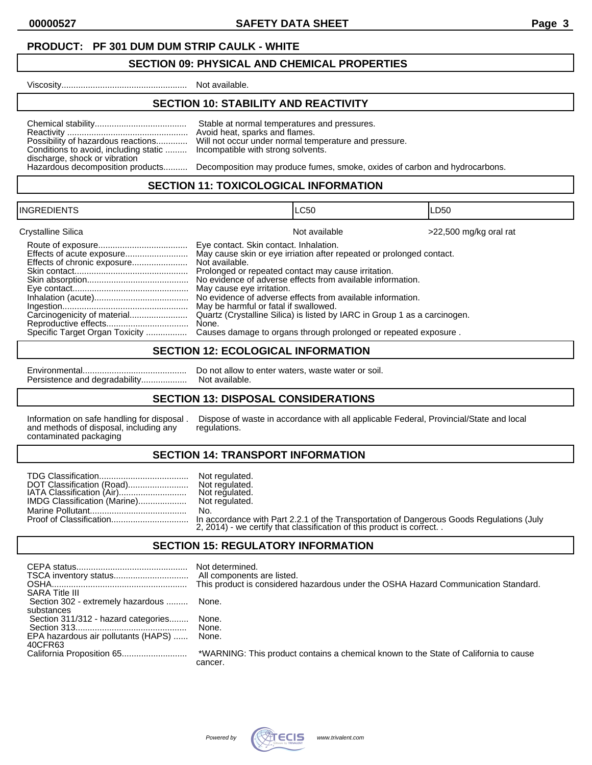**00000527 SAFETY DATA SHEET Page 3**

## **PRODUCT: PF 301 DUM DUM STRIP CAULK - WHITE**

## **SECTION 09: PHYSICAL AND CHEMICAL PROPERTIES**

Viscosity.................................................... Not available.

# **SECTION 10: STABILITY AND REACTIVITY**

| Possibility of hazardous reactions<br>Conditions to avoid, including static<br>discharge, shock or vibration<br>Hazardous decomposition products | Stable at normal temperatures and pressures.<br>Avoid heat, sparks and flames.<br>Will not occur under normal temperature and pressure.<br>Incompatible with strong solvents.<br>Decomposition may produce fumes, smoke, oxides of carbon and hydrocarbons. |
|--------------------------------------------------------------------------------------------------------------------------------------------------|-------------------------------------------------------------------------------------------------------------------------------------------------------------------------------------------------------------------------------------------------------------|
|--------------------------------------------------------------------------------------------------------------------------------------------------|-------------------------------------------------------------------------------------------------------------------------------------------------------------------------------------------------------------------------------------------------------------|

#### **SECTION 11: TOXICOLOGICAL INFORMATION**

| <b>INGREDIENTS</b>                                                                                                                              | ILC50                                                                                                                                                                                                                                                                                                                                                                                                                                                                                                                                                               | LD50                   |
|-------------------------------------------------------------------------------------------------------------------------------------------------|---------------------------------------------------------------------------------------------------------------------------------------------------------------------------------------------------------------------------------------------------------------------------------------------------------------------------------------------------------------------------------------------------------------------------------------------------------------------------------------------------------------------------------------------------------------------|------------------------|
| Crystalline Silica<br>Effects of acute exposure<br>Effects of chronic exposure<br>Carcinogenicity of material<br>Specific Target Organ Toxicity | Not available<br>Eye contact. Skin contact. Inhalation.<br>May cause skin or eye irriation after repeated or prolonged contact.<br>Not available.<br>Prolonged or repeated contact may cause irritation.<br>No evidence of adverse effects from available information.<br>May cause eye irritation.<br>No evidence of adverse effects from available information.<br>May be harmful or fatal if swallowed.<br>Quartz (Crystalline Silica) is listed by IARC in Group 1 as a carcinogen.<br>None.<br>Causes damage to organs through prolonged or repeated exposure. | >22,500 mg/kg oral rat |

## **SECTION 12: ECOLOGICAL INFORMATION**

| Persistence and degradability |
|-------------------------------|

Environmental........................................... Do not allow to enter waters, waste water or soil. Persistence and degradability................... Not available.

## **SECTION 13: DISPOSAL CONSIDERATIONS**

and methods of disposal, including any regulations. contaminated packaging

Information on safe handling for disposal . Dispose of waste in accordance with all applicable Federal, Provincial/State and local

#### **SECTION 14: TRANSPORT INFORMATION**

|                           | Not regulated.                                                        |
|---------------------------|-----------------------------------------------------------------------|
| DOT Classification (Road) | Not regulated.                                                        |
|                           |                                                                       |
|                           |                                                                       |
|                           | No.                                                                   |
|                           |                                                                       |
|                           | 2, 2014) - we certify that classification of this product is correct. |

#### **SECTION 15: REGULATORY INFORMATION**

| <b>SARA Title III</b>               | Not determined.<br>This product is considered hazardous under the OSHA Hazard Communication Standard. |
|-------------------------------------|-------------------------------------------------------------------------------------------------------|
| Section 302 - extremely hazardous   | None.                                                                                                 |
| substances                          |                                                                                                       |
| Section 311/312 - hazard categories | None.                                                                                                 |
|                                     | None.                                                                                                 |
| EPA hazardous air pollutants (HAPS) | None.                                                                                                 |
| 40CFR63                             |                                                                                                       |
|                                     | *WARNING: This product contains a chemical known to the State of California to cause<br>cancer.       |
|                                     |                                                                                                       |